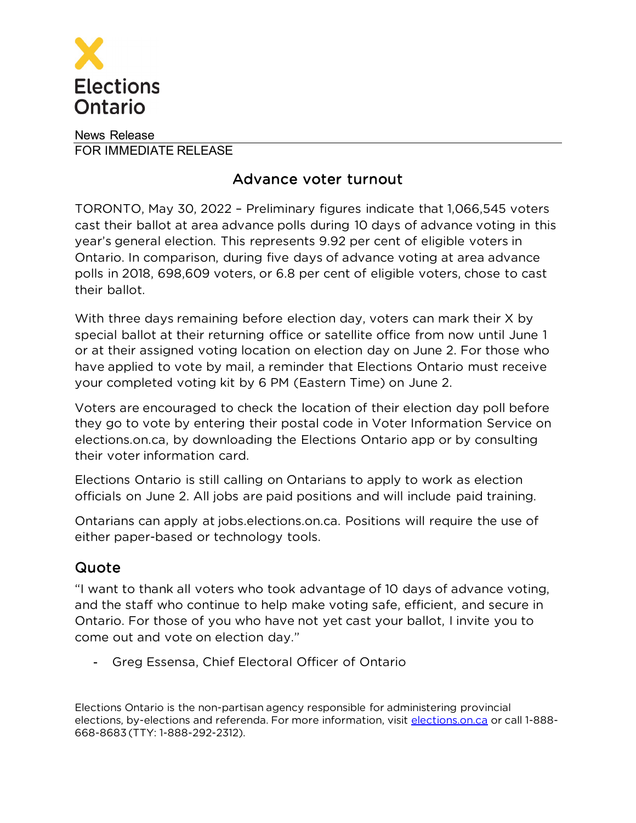

News Release FOR IMMEDIATE RELEASE

## Advance voter turnout

TORONTO, May 30, 2022 – Preliminary figures indicate that 1,066,545 voters cast their ballot at area advance polls during 10 days of advance voting in this year's general election. This represents 9.92 per cent of eligible voters in Ontario. In comparison, during five days of advance voting at area advance polls in 2018, 698,609 voters, or 6.8 per cent of eligible voters, chose to cast their ballot.

With three days remaining before election day, voters can mark their X by special ballot at their returning office or satellite office from now until June 1 or at their assigned voting location on election day on June 2. For those who have applied to vote by mail, a reminder that Elections Ontario must receive your completed voting kit by 6 PM (Eastern Time) on June 2.

Voters are encouraged to check the location of their election day poll before they go to vote by entering their postal code in Voter Information Service on elections.on.ca, by downloading the Elections Ontario app or by consulting their voter information card.

Elections Ontario is still calling on Ontarians to apply to work as election officials on June 2. All jobs are paid positions and will include paid training.

Ontarians can apply at jobs.elections.on.ca. Positions will require the use of either paper-based or technology tools.

## Quote

"I want to thank all voters who took advantage of 10 days of advance voting, and the staff who continue to help make voting safe, efficient, and secure in Ontario. For those of you who have not yet cast your ballot, I invite you to come out and vote on election day."

- Greg Essensa, Chief Electoral Officer of Ontario

Elections Ontario is the non-partisan agency responsible for administering provincial elections, by-elections and referenda. For more information, visit [elections.on.ca](http://elections.on.ca) or call 1-888-668-8683 (TTY: 1-888-292-2312).